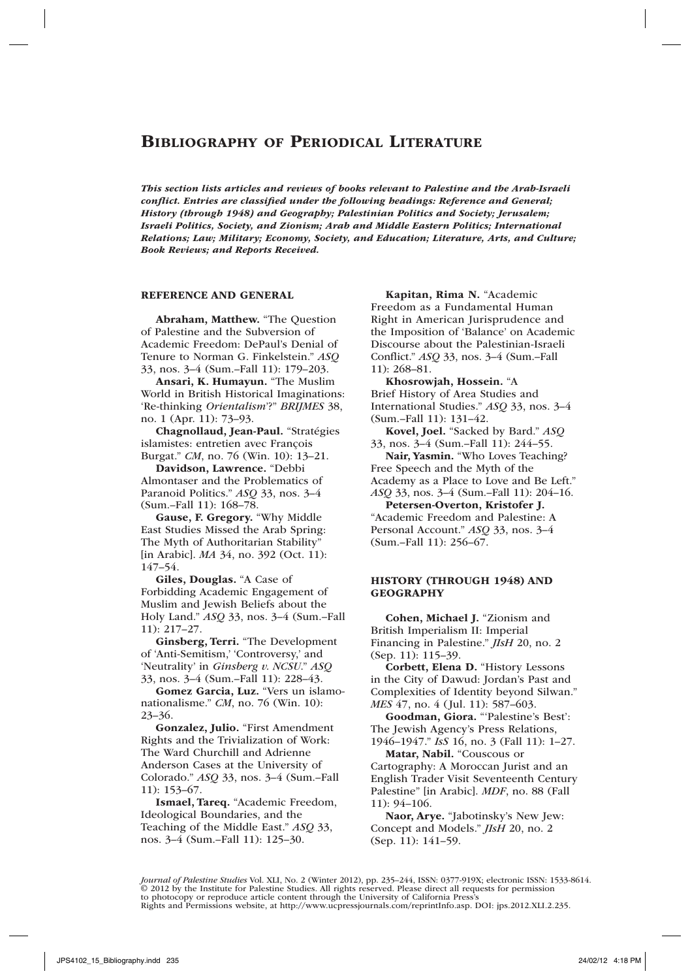*This section lists articles and reviews of books relevant to Palestine and the Arab-Israeli conflict. Entries are classified under the following headings: Reference and General; History (through 1948) and Geography; Palestinian Politics and Society; Jerusalem; Israeli Politics, Society, and Zionism; Arab and Middle Eastern Politics; International Relations; Law; Military; Economy, Society, and Education; Literature, Arts, and Culture; Book Reviews; and Reports Received.*

# Reference and General

Abraham, Matthew. "The Question of Palestine and the Subversion of Academic Freedom: DePaul's Denial of Tenure to Norman G. Finkelstein." *ASQ* 33, nos. 3–4 (Sum.–Fall 11): 179–203.

Ansari, K. Humayun. "The Muslim World in British Historical Imaginations: 'Re-thinking *Orientalism*'?" *BRIJMES* 38, no. 1 (Apr. 11): 73–93.

Chagnollaud, Jean-Paul. "Stratégies islamistes: entretien avec François Burgat." *CM*, no. 76 (Win. 10): 13–21.

Davidson, Lawrence. "Debbi Almontaser and the Problematics of Paranoid Politics." *ASQ* 33, nos. 3–4 (Sum.–Fall 11): 168–78.

Gause, F. Gregory. "Why Middle East Studies Missed the Arab Spring: The Myth of Authoritarian Stability" [in Arabic]. *MA* 34, no. 392 (Oct. 11): 147–54.

Giles, Douglas. "A Case of Forbidding Academic Engagement of Muslim and Jewish Beliefs about the Holy Land." *ASQ* 33, nos. 3–4 (Sum.–Fall 11): 217–27.

Ginsberg, Terri. "The Development of 'Anti-Semitism,' 'Controversy,' and 'Neutrality' in *Ginsberg v. NCSU*." *ASQ* 33, nos. 3–4 (Sum.–Fall 11): 228–43.

Gomez Garcia, Luz. "Vers un islamonationalisme." *CM*, no. 76 (Win. 10): 23–36.

Gonzalez, Julio. "First Amendment Rights and the Trivialization of Work: The Ward Churchill and Adrienne Anderson Cases at the University of Colorado." *ASQ* 33, nos. 3–4 (Sum.–Fall 11): 153–67.

Ismael, Tareq. "Academic Freedom, Ideological Boundaries, and the Teaching of the Middle East." *ASQ* 33, nos. 3–4 (Sum.–Fall 11): 125–30.

Kapitan, Rima N. "Academic Freedom as a Fundamental Human Right in American Jurisprudence and the Imposition of 'Balance' on Academic Discourse about the Palestinian-Israeli Conflict." *ASQ* 33, nos. 3–4 (Sum.–Fall 11): 268–81.

Khosrowjah, Hossein. "A Brief History of Area Studies and International Studies." *ASQ* 33, nos. 3–4 (Sum.–Fall 11): 131–42.

Kovel, Joel. "Sacked by Bard." *ASQ* 33, nos. 3–4 (Sum.–Fall 11): 244–55.

Nair, Yasmin. "Who Loves Teaching? Free Speech and the Myth of the Academy as a Place to Love and Be Left." *ASQ* 33, nos. 3–4 (Sum.–Fall 11): 204–16.

Petersen-Overton, Kristofer J. "Academic Freedom and Palestine: A Personal Account." *ASQ* 33, nos. 3–4 (Sum.–Fall 11): 256–67.

# History (through 1948) and **GEOGRAPHY**

Cohen, Michael J. "Zionism and British Imperialism II: Imperial Financing in Palestine." *JIsH* 20, no. 2 (Sep. 11): 115–39.

Corbett, Elena D. "History Lessons in the City of Dawud: Jordan's Past and Complexities of Identity beyond Silwan." *MES* 47, no. 4 (Jul. 11): 587–603.

Goodman, Giora. "'Palestine's Best': The Jewish Agency's Press Relations, 1946–1947." *IsS* 16, no. 3 (Fall 11): 1–27.

Matar, Nabil. "Couscous or Cartography: A Moroccan Jurist and an English Trader Visit Seventeenth Century

Palestine" [in Arabic]. *MDF*, no. 88 (Fall 11): 94–106.

Naor, Arye. "Jabotinsky's New Jew: Concept and Models." *JIsH* 20, no. 2 (Sep. 11): 141–59.

Journal of Palestine Studies Vol. XLI, No. 2 (Winter 2012), pp. 235–244, ISSN: 0377-919X; electronic ISSN: 1533-8614.<br>© 2012 by the Institute for Palestine Studies. All rights reserved. Please direct all requests for permi to photocopy or reproduce article content through the University of California Press Rights and Permissions website, at http://www.ucpressjournals.com/reprintInfo.asp. DOI: jps.2012.XLI.2.235.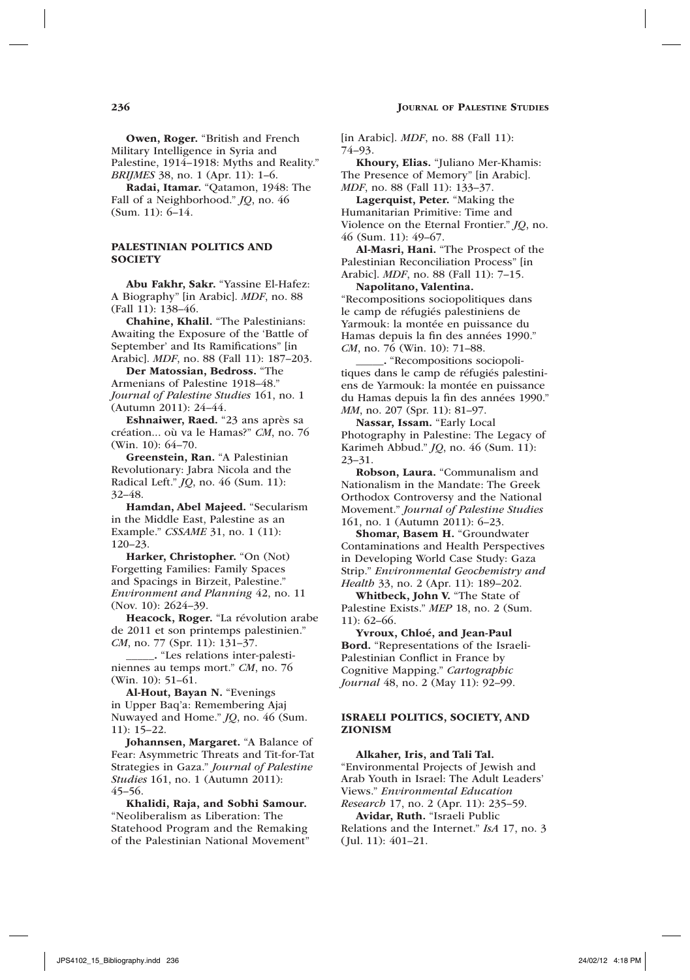Owen, Roger. "British and French Military Intelligence in Syria and Palestine, 1914–1918: Myths and Reality." *BRIJMES* 38, no. 1 (Apr. 11): 1–6.

Radai, Itamar. "Qatamon, 1948: The Fall of a Neighborhood." *JQ*, no. 46 (Sum. 11): 6–14.

# Palestinian Politics and **SOCIETY**

Abu Fakhr, Sakr. "Yassine El-Hafez: A Biography" [in Arabic]. *MDF*, no. 88 (Fall 11): 138–46.

Chahine, Khalil. "The Palestinians: Awaiting the Exposure of the 'Battle of September' and Its Ramifications" [in Arabic]. *MDF*, no. 88 (Fall 11): 187–203.

Der Matossian, Bedross. "The Armenians of Palestine 1918–48." *Journal of Palestine Studies* 161, no. 1 (Autumn 2011): 24–44.

Eshnaiwer, Raed. "23 ans après sa création... où va le Hamas?" *CM*, no. 76 (Win. 10): 64–70.

Greenstein, Ran. "A Palestinian Revolutionary: Jabra Nicola and the Radical Left." *JQ*, no. 46 (Sum. 11): 32–48.

Hamdan, Abel Majeed. "Secularism in the Middle East, Palestine as an Example." *CSSAME* 31, no. 1 (11): 120–23.

Harker, Christopher. "On (Not) Forgetting Families: Family Spaces and Spacings in Birzeit, Palestine." *Environment and Planning* 42, no. 11 (Nov. 10): 2624–39.

Heacock, Roger. "La révolution arabe de 2011 et son printemps palestinien." *CM*, no. 77 (Spr. 11): 131–37.

\_\_\_\_\_. "Les relations inter-palestiniennes au temps mort." *CM*, no. 76 (Win. 10): 51–61.

Al-Hout, Bayan N. "Evenings in Upper Baq'a: Remembering Ajaj Nuwayed and Home." *JQ*, no. 46 (Sum. 11): 15–22.

Johannsen, Margaret. "A Balance of Fear: Asymmetric Threats and Tit-for-Tat Strategies in Gaza." *Journal of Palestine Studies* 161, no. 1 (Autumn 2011): 45–56.

Khalidi, Raja, and Sobhi Samour. "Neoliberalism as Liberation: The Statehood Program and the Remaking of the Palestinian National Movement" [in Arabic]. *MDF*, no. 88 (Fall 11): 74–93.

Khoury, Elias. "Juliano Mer-Khamis: The Presence of Memory" [in Arabic]. *MDF*, no. 88 (Fall 11): 133–37.

Lagerquist, Peter. "Making the Humanitarian Primitive: Time and Violence on the Eternal Frontier." *JQ*, no. 46 (Sum. 11): 49–67.

Al-Masri, Hani. "The Prospect of the Palestinian Reconciliation Process" [in Arabic]. *MDF*, no. 88 (Fall 11): 7–15.

Napolitano, Valentina. "Recompositions sociopolitiques dans le camp de réfugiés palestiniens de Yarmouk: la montée en puissance du Hamas depuis la fin des années 1990." *CM*, no. 76 (Win. 10): 71–88.

\_\_\_\_\_. "Recompositions sociopolitiques dans le camp de réfugiés palestiniens de Yarmouk: la montée en puissance du Hamas depuis la fin des années 1990." *MM*, no. 207 (Spr. 11): 81–97.

Nassar, Issam. "Early Local Photography in Palestine: The Legacy of Karimeh Abbud." *JQ*, no. 46 (Sum. 11): 23–31.

Robson, Laura. "Communalism and Nationalism in the Mandate: The Greek Orthodox Controversy and the National Movement." *Journal of Palestine Studies* 161, no. 1 (Autumn 2011): 6–23.

Shomar, Basem H. "Groundwater Contaminations and Health Perspectives in Developing World Case Study: Gaza Strip." *Environmental Geochemistry and Health* 33, no. 2 (Apr. 11): 189–202.

Whitbeck, John V. "The State of Palestine Exists." *MEP* 18, no. 2 (Sum. 11): 62–66.

Yvroux, Chloé, and Jean-Paul Bord. "Representations of the Israeli-Palestinian Conflict in France by Cognitive Mapping." *Cartographic Journal* 48, no. 2 (May 11): 92–99.

# Israeli Politics, Society, and Zionism

Alkaher, Iris, and Tali Tal.

"Environmental Projects of Jewish and Arab Youth in Israel: The Adult Leaders' Views." *Environmental Education Research* 17, no. 2 (Apr. 11): 235–59.

Avidar, Ruth. "Israeli Public

Relations and the Internet." *IsA* 17, no. 3 (Jul. 11): 401–21.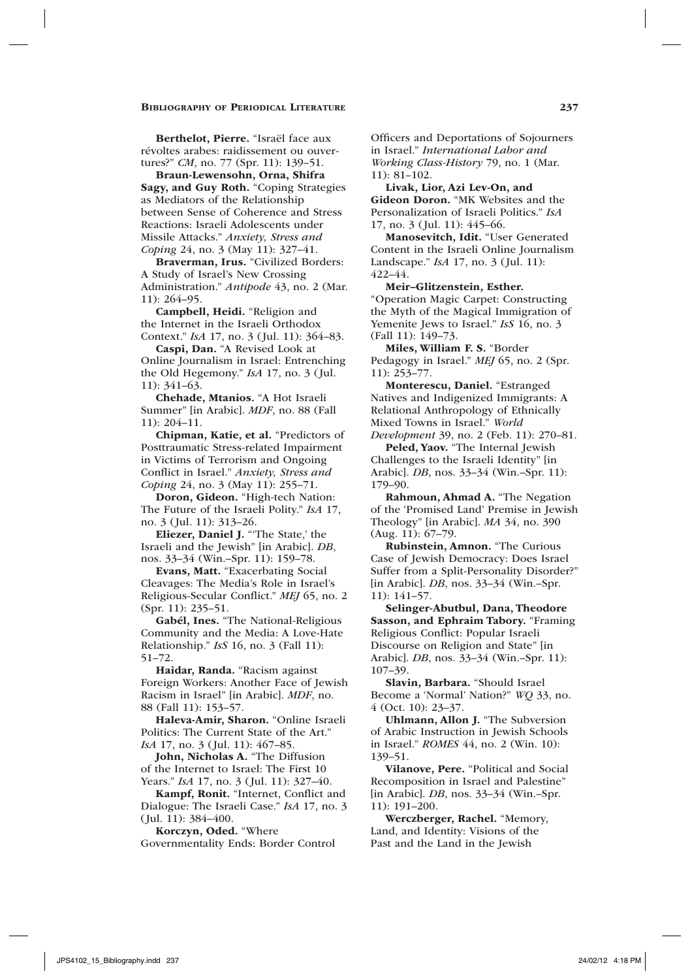Berthelot, Pierre. "Israël face aux révoltes arabes: raidissement ou ouvertures?" *CM*, no. 77 (Spr. 11): 139–51.

Braun-Lewensohn, Orna, Shifra Sagy, and Guy Roth. "Coping Strategies as Mediators of the Relationship between Sense of Coherence and Stress Reactions: Israeli Adolescents under Missile Attacks." *Anxiety, Stress and Coping* 24, no. 3 (May 11): 327–41.

Braverman, Irus. "Civilized Borders: A Study of Israel's New Crossing Administration." *Antipode* 43, no. 2 (Mar. 11): 264–95.

Campbell, Heidi. "Religion and the Internet in the Israeli Orthodox Context." *IsA* 17, no. 3 (Jul. 11): 364–83.

Caspi, Dan. "A Revised Look at Online Journalism in Israel: Entrenching the Old Hegemony." *IsA* 17, no. 3 (Jul. 11): 341–63.

Chehade, Mtanios. "A Hot Israeli Summer" [in Arabic]. *MDF*, no. 88 (Fall 11): 204–11.

Chipman, Katie, et al. "Predictors of Posttraumatic Stress-related Impairment in Victims of Terrorism and Ongoing Conflict in Israel." *Anxiety, Stress and Coping* 24, no. 3 (May 11): 255–71.

Doron, Gideon. "High-tech Nation: The Future of the Israeli Polity." *IsA* 17, no. 3 (Jul. 11): 313–26.

Eliezer, Daniel J. "'The State,' the Israeli and the Jewish" [in Arabic]. *DB*, nos. 33–34 (Win.–Spr. 11): 159–78.

Evans, Matt. "Exacerbating Social Cleavages: The Media's Role in Israel's Religious-Secular Conflict." *MEJ* 65, no. 2 (Spr. 11): 235–51.

Gabél, Ines. "The National-Religious Community and the Media: A Love-Hate Relationship." *IsS* 16, no. 3 (Fall 11): 51–72.

Haidar, Randa. "Racism against Foreign Workers: Another Face of Jewish Racism in Israel" [in Arabic]. *MDF*, no. 88 (Fall 11): 153–57.

Haleva-Amir, Sharon. "Online Israeli Politics: The Current State of the Art." *IsA* 17, no. 3 (Jul. 11): 467–85.

John, Nicholas A. "The Diffusion of the Internet to Israel: The First 10 Years." *IsA* 17, no. 3 (Jul. 11): 327-40.

Kampf, Ronit. "Internet, Conflict and Dialogue: The Israeli Case." *IsA* 17, no. 3 (Jul. 11): 384–400.

Korczyn, Oded. "Where Governmentality Ends: Border Control Officers and Deportations of Sojourners in Israel." *International Labor and Working Class-History* 79, no. 1 (Mar. 11): 81–102.

Livak, Lior, Azi Lev-On, and Gideon Doron. "MK Websites and the Personalization of Israeli Politics." *IsA* 17, no. 3 (Jul. 11): 445–66.

Manosevitch, Idit. "User Generated Content in the Israeli Online Journalism Landscape." *IsA* 17, no. 3 (Jul. 11): 422–44.

Meir–Glitzenstein, Esther. "Operation Magic Carpet: Constructing the Myth of the Magical Immigration of Yemenite Jews to Israel." *IsS* 16, no. 3 (Fall 11): 149–73.

Miles, William F. S. "Border Pedagogy in Israel." *MEJ* 65, no. 2 (Spr. 11): 253–77.

Monterescu, Daniel. "Estranged Natives and Indigenized Immigrants: A Relational Anthropology of Ethnically Mixed Towns in Israel." *World Development* 39, no. 2 (Feb. 11): 270–81.

Peled, Yaov. "The Internal Jewish Challenges to the Israeli Identity" [in Arabic]. *DB*, nos. 33–34 (Win.–Spr. 11): 179–90.

Rahmoun, Ahmad A. "The Negation of the 'Promised Land' Premise in Jewish Theology" [in Arabic]. *MA* 34, no. 390 (Aug. 11): 67–79.

Rubinstein, Amnon. "The Curious Case of Jewish Democracy: Does Israel Suffer from a Split-Personality Disorder?" [in Arabic]. *DB*, nos. 33–34 (Win.–Spr. 11): 141–57.

Selinger-Abutbul, Dana, Theodore Sasson, and Ephraim Tabory. "Framing Religious Conflict: Popular Israeli Discourse on Religion and State" [in Arabic]. *DB*, nos. 33–34 (Win.–Spr. 11): 107–39.

Slavin, Barbara. "Should Israel Become a 'Normal' Nation?" *WQ* 33, no. 4 (Oct. 10): 23–37.

Uhlmann, Allon J. "The Subversion of Arabic Instruction in Jewish Schools in Israel." *ROMES* 44, no. 2 (Win. 10): 139–51.

Vilanove, Pere. "Political and Social Recomposition in Israel and Palestine" [in Arabic]. *DB*, nos. 33–34 (Win.–Spr. 11): 191–200.

Werczberger, Rachel. "Memory, Land, and Identity: Visions of the Past and the Land in the Jewish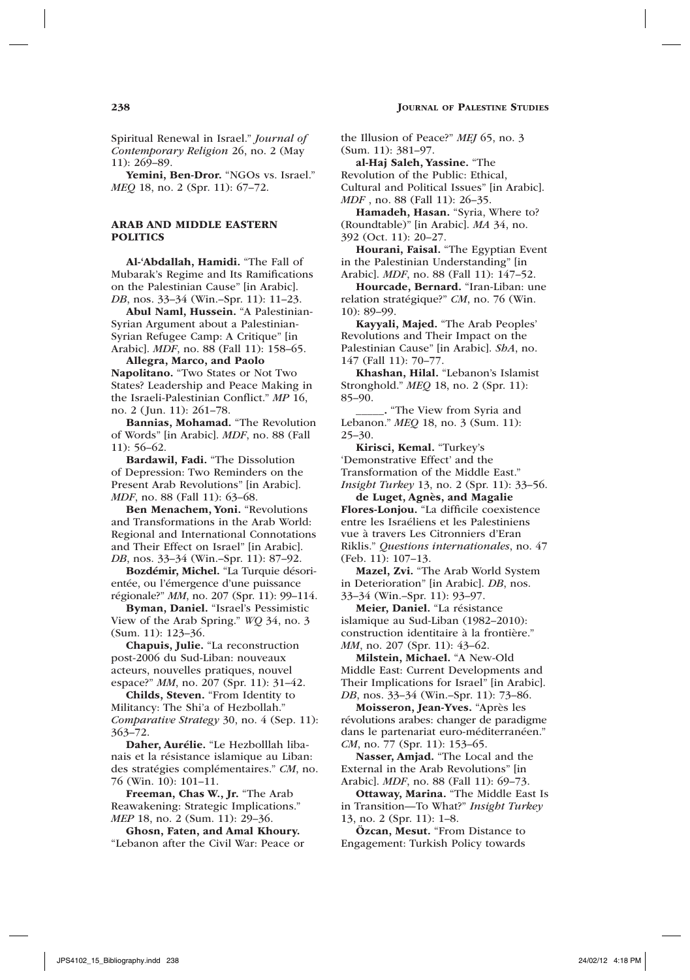Spiritual Renewal in Israel." *Journal of Contemporary Religion* 26, no. 2 (May 11): 269–89.

Yemini, Ben-Dror. "NGOs vs. Israel." *MEQ* 18, no. 2 (Spr. 11): 67–72.

# Arab and Middle Eastern **POLITICS**

Al-'Abdallah, Hamidi. "The Fall of Mubarak's Regime and Its Ramifications on the Palestinian Cause" [in Arabic]. *DB*, nos. 33–34 (Win.–Spr. 11): 11–23.

Abul Naml, Hussein. "A Palestinian-Syrian Argument about a Palestinian-Syrian Refugee Camp: A Critique" [in Arabic]. *MDF*, no. 88 (Fall 11): 158–65.

Allegra, Marco, and Paolo Napolitano. "Two States or Not Two States? Leadership and Peace Making in the Israeli-Palestinian Conflict." *MP* 16, no. 2 (Jun. 11): 261–78.

Bannias, Mohamad. "The Revolution of Words" [in Arabic]. *MDF*, no. 88 (Fall 11): 56–62.

Bardawil, Fadi. "The Dissolution of Depression: Two Reminders on the Present Arab Revolutions" [in Arabic]. *MDF*, no. 88 (Fall 11): 63–68.

Ben Menachem, Yoni. "Revolutions and Transformations in the Arab World: Regional and International Connotations and Their Effect on Israel" [in Arabic]. *DB*, nos. 33–34 (Win.–Spr. 11): 87–92.

Bozdémir, Michel. "La Turquie désorientée, ou l'émergence d'une puissance régionale?" *MM*, no. 207 (Spr. 11): 99–114.

Byman, Daniel. "Israel's Pessimistic View of the Arab Spring." *WQ* 34, no. 3 (Sum. 11): 123–36.

Chapuis, Julie. "La reconstruction post-2006 du Sud-Liban: nouveaux acteurs, nouvelles pratiques, nouvel espace?" *MM*, no. 207 (Spr. 11): 31–42.

Childs, Steven. "From Identity to Militancy: The Shi'a of Hezbollah." *Comparative Strategy* 30, no. 4 (Sep. 11): 363–72.

Daher, Aurélie. "Le Hezbolllah libanais et la résistance islamique au Liban: des stratégies complémentaires." *CM*, no. 76 (Win. 10): 101–11.

Freeman, Chas W., Jr. "The Arab Reawakening: Strategic Implications." *MEP* 18, no. 2 (Sum. 11): 29–36.

Ghosn, Faten, and Amal Khoury. "Lebanon after the Civil War: Peace or the Illusion of Peace?" *MEJ* 65, no. 3 (Sum. 11): 381–97.

al-Haj Saleh, Yassine. "The Revolution of the Public: Ethical, Cultural and Political Issues" [in Arabic]. *MDF* , no. 88 (Fall 11): 26–35.

Hamadeh, Hasan. "Syria, Where to? (Roundtable)" [in Arabic]. *MA* 34, no. 392 (Oct. 11): 20–27.

Hourani, Faisal. "The Egyptian Event in the Palestinian Understanding" [in Arabic]. *MDF*, no. 88 (Fall 11): 147–52.

Hourcade, Bernard. "Iran-Liban: une relation stratégique?" *CM*, no. 76 (Win. 10): 89–99.

Kayyali, Majed. "The Arab Peoples' Revolutions and Their Impact on the Palestinian Cause" [in Arabic]. *ShA*, no. 147 (Fall 11): 70–77.

Khashan, Hilal. "Lebanon's Islamist Stronghold." *MEQ* 18, no. 2 (Spr. 11): 85–90.

\_\_\_\_\_. "The View from Syria and Lebanon." *MEQ* 18, no. 3 (Sum. 11): 25–30.

Kirisci, Kemal. "Turkey's 'Demonstrative Effect' and the Transformation of the Middle East." *Insight Turkey* 13, no. 2 (Spr. 11): 33–56.

de Luget, Agnès, and Magalie Flores-Lonjou. "La difficile coexistence entre les Israéliens et les Palestiniens vue à travers Les Citronniers d'Eran Riklis." *Questions internationales*, no. 47 (Feb. 11): 107–13.

Mazel, Zvi. "The Arab World System in Deterioration" [in Arabic]. *DB*, nos. 33–34 (Win.–Spr. 11): 93–97.

Meier, Daniel. "La résistance islamique au Sud-Liban (1982–2010): construction identitaire à la frontière." *MM*, no. 207 (Spr. 11): 43-62.

Milstein, Michael. "A New-Old Middle East: Current Developments and Their Implications for Israel" [in Arabic]. *DB*, nos. 33–34 (Win.–Spr. 11): 73–86.

Moisseron, Jean-Yves. "Après les révolutions arabes: changer de paradigme dans le partenariat euro-méditerranéen." *CM*, no. 77 (Spr. 11): 153–65.

Nasser, Amjad. "The Local and the External in the Arab Revolutions" [in Arabic]. *MDF*, no. 88 (Fall 11): 69–73.

Ottaway, Marina. "The Middle East Is in Transition—To What?" *Insight Turkey* 13, no. 2 (Spr. 11): 1–8.

Özcan, Mesut. "From Distance to Engagement: Turkish Policy towards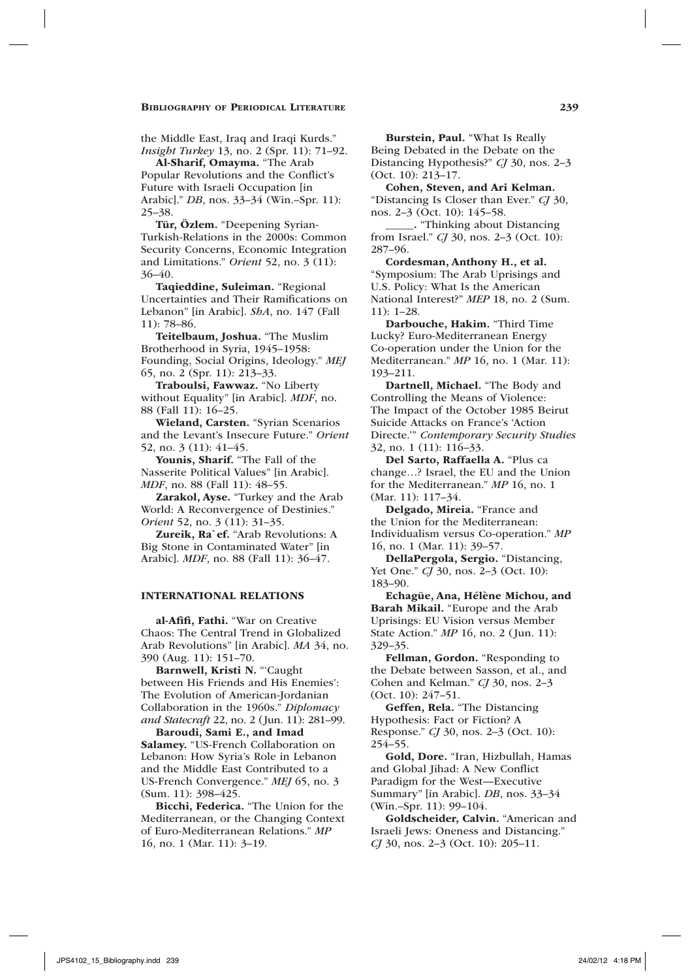the Middle East, Iraq and Iraqi Kurds." *Insight Turkey* 13, no. 2 (Spr. 11): 71–92.

Al-Sharif, Omayma. "The Arab Popular Revolutions and the Conflict's Future with Israeli Occupation [in Arabic]." *DB*, nos. 33–34 (Win.–Spr. 11): 25–38.

Tür, Özlem. "Deepening Syrian-Turkish-Relations in the 2000s: Common Security Concerns, Economic Integration and Limitations." *Orient* 52, no. 3 (11): 36–40.

Taqieddine, Suleiman. "Regional Uncertainties and Their Ramifications on Lebanon" [in Arabic]. *ShA*, no. 147 (Fall 11): 78–86.

Teitelbaum, Joshua. "The Muslim Brotherhood in Syria, 1945–1958: Founding, Social Origins, Ideology." *MEJ* 65, no. 2 (Spr. 11): 213–33.

Traboulsi, Fawwaz. "No Liberty without Equality" [in Arabic]. *MDF*, no. 88 (Fall 11): 16–25.

Wieland, Carsten. "Syrian Scenarios and the Levant's Insecure Future." *Orient* 52, no. 3 (11): 41–45.

Younis, Sharif. "The Fall of the Nasserite Political Values" [in Arabic]. *MDF*, no. 88 (Fall 11): 48–55.

Zarakol, Ayse. "Turkey and the Arab World: A Reconvergence of Destinies." *Orient* 52, no. 3 (11): 31–35.

Zureik, Ra`ef. "Arab Revolutions: A Big Stone in Contaminated Water" [in Arabic]. *MDF*, no. 88 (Fall 11): 36–47.

# International Relations

al-Afifi, Fathi. "War on Creative Chaos: The Central Trend in Globalized Arab Revolutions" [in Arabic]. *MA* 34, no. 390 (Aug. 11): 151–70.

Barnwell, Kristi N. "'Caught between His Friends and His Enemies': The Evolution of American-Jordanian Collaboration in the 1960s." *Diplomacy and Statecraft* 22, no. 2 (Jun. 11): 281–99.

Baroudi, Sami E., and Imad Salamey. "US-French Collaboration on Lebanon: How Syria's Role in Lebanon and the Middle East Contributed to a US-French Convergence." *MEJ* 65, no. 3 (Sum. 11): 398–425.

Bicchi, Federica. "The Union for the Mediterranean, or the Changing Context of Euro-Mediterranean Relations." *MP* 16, no. 1 (Mar. 11): 3–19.

Burstein, Paul. "What Is Really Being Debated in the Debate on the Distancing Hypothesis?" *CJ* 30, nos. 2–3 (Oct. 10): 213–17.

Cohen, Steven, and Ari Kelman. "Distancing Is Closer than Ever." *CJ* 30, nos. 2–3 (Oct. 10): 145–58.

\_\_\_\_\_. "Thinking about Distancing from Israel." *CJ* 30, nos. 2–3 (Oct. 10): 287–96.

Cordesman, Anthony H., et al. "Symposium: The Arab Uprisings and U.S. Policy: What Is the American National Interest?" *MEP* 18, no. 2 (Sum.  $11)$  $-28$ 

Darbouche, Hakim. "Third Time Lucky? Euro-Mediterranean Energy Co-operation under the Union for the Mediterranean." *MP* 16, no. 1 (Mar. 11): 193–211.

Dartnell, Michael. "The Body and Controlling the Means of Violence: The Impact of the October 1985 Beirut Suicide Attacks on France's 'Action Directe.'" *Contemporary Security Studies* 32, no. 1 (11): 116–33.

Del Sarto, Raffaella A. "Plus ca change…? Israel, the EU and the Union for the Mediterranean." *MP* 16, no. 1 (Mar. 11): 117–34.

Delgado, Mireia. "France and the Union for the Mediterranean: Individualism versus Co-operation." *MP* 16, no. 1 (Mar. 11): 39–57.

DellaPergola, Sergio. "Distancing, Yet One." *CJ* 30, nos. 2–3 (Oct. 10): 183–90.

Echagüe, Ana, Hélène Michou, and Barah Mikail. "Europe and the Arab Uprisings: EU Vision versus Member State Action." *MP* 16, no. 2 (Jun. 11): 329–35.

Fellman, Gordon. "Responding to the Debate between Sasson, et al., and Cohen and Kelman." *CJ* 30, nos. 2–3 (Oct. 10): 247–51.

Geffen, Rela. "The Distancing Hypothesis: Fact or Fiction? A Response." *CJ* 30, nos. 2–3 (Oct. 10): 254–55.

Gold, Dore. "Iran, Hizbullah, Hamas and Global Jihad: A New Conflict Paradigm for the West—Executive Summary" [in Arabic]. *DB*, nos. 33–34 (Win.–Spr. 11): 99–104.

Goldscheider, Calvin. "American and Israeli Jews: Oneness and Distancing." *CJ* 30, nos. 2–3 (Oct. 10): 205–11.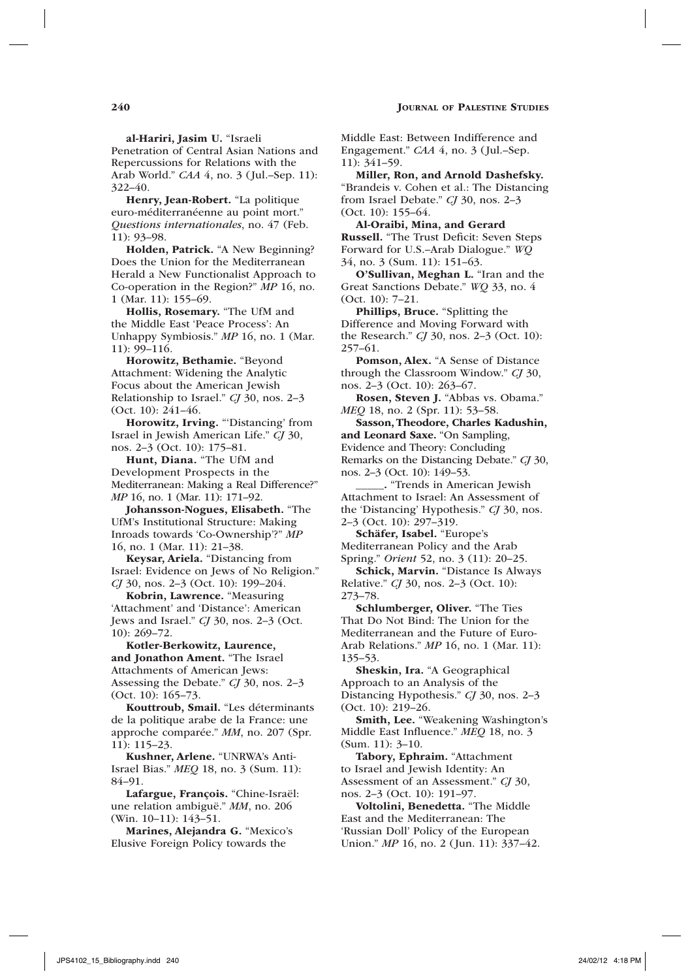al-Hariri, Jasim U. "Israeli

Penetration of Central Asian Nations and Repercussions for Relations with the Arab World." *CAA* 4, no. 3 (Jul.–Sep. 11): 322–40.

Henry, Jean-Robert. "La politique euro-méditerranéenne au point mort." *Questions internationales*, no. 47 (Feb. 11): 93–98.

Holden, Patrick. "A New Beginning? Does the Union for the Mediterranean Herald a New Functionalist Approach to Co-operation in the Region?" *MP* 16, no. 1 (Mar. 11): 155–69.

Hollis, Rosemary. "The UfM and the Middle East 'Peace Process': An Unhappy Symbiosis." *MP* 16, no. 1 (Mar. 11): 99–116.

Horowitz, Bethamie. "Beyond Attachment: Widening the Analytic Focus about the American Jewish Relationship to Israel." *CJ* 30, nos. 2–3 (Oct. 10): 241–46.

Horowitz, Irving. "'Distancing' from Israel in Jewish American Life." *CJ* 30, nos. 2–3 (Oct. 10): 175–81.

Hunt, Diana. "The UfM and Development Prospects in the Mediterranean: Making a Real Difference?" *MP* 16, no. 1 (Mar. 11): 171–92.

Johansson-Nogues, Elisabeth. "The UfM's Institutional Structure: Making Inroads towards 'Co-Ownership'?" *MP* 16, no. 1 (Mar. 11): 21–38.

Keysar, Ariela. "Distancing from Israel: Evidence on Jews of No Religion." *CJ* 30, nos. 2–3 (Oct. 10): 199–204.

Kobrin, Lawrence. "Measuring 'Attachment' and 'Distance': American Jews and Israel." *CJ* 30, nos. 2–3 (Oct. 10): 269–72.

Kotler-Berkowitz, Laurence, and Jonathon Ament. "The Israel Attachments of American Jews: Assessing the Debate." *CJ* 30, nos. 2–3 (Oct. 10): 165–73.

Kouttroub, Smail. "Les déterminants de la politique arabe de la France: une approche comparée." *MM*, no. 207 (Spr. 11): 115–23.

Kushner, Arlene. "UNRWA's Anti-Israel Bias." *MEQ* 18, no. 3 (Sum. 11): 84–91.

Lafargue, François. "Chine-Israël: une relation ambiguë." *MM*, no. 206 (Win. 10–11): 143–51.

Marines, Alejandra G. "Mexico's Elusive Foreign Policy towards the

Middle East: Between Indifference and Engagement." *CAA* 4, no. 3 (Jul.–Sep. 11): 341–59.

Miller, Ron, and Arnold Dashefsky. "Brandeis v. Cohen et al.: The Distancing from Israel Debate." *CJ* 30, nos. 2–3 (Oct. 10): 155–64.

Al-Oraibi, Mina, and Gerard Russell. "The Trust Deficit: Seven Steps Forward for U.S.–Arab Dialogue." *WQ* 34, no. 3 (Sum. 11): 151–63.

O'Sullivan, Meghan L. "Iran and the Great Sanctions Debate." *WQ* 33, no. 4 (Oct. 10): 7–21.

Phillips, Bruce. "Splitting the Difference and Moving Forward with the Research." *CJ* 30, nos. 2–3 (Oct. 10): 257–61.

Pomson, Alex. "A Sense of Distance through the Classroom Window." *CJ* 30, nos. 2–3 (Oct. 10): 263–67.

Rosen, Steven J. "Abbas vs. Obama." *MEQ* 18, no. 2 (Spr. 11): 53–58.

Sasson, Theodore, Charles Kadushin, and Leonard Saxe. "On Sampling, Evidence and Theory: Concluding Remarks on the Distancing Debate." *CJ* 30, nos. 2–3 (Oct. 10): 149–53.

\_\_\_\_\_. "Trends in American Jewish Attachment to Israel: An Assessment of the 'Distancing' Hypothesis." *CJ* 30, nos. 2–3 (Oct. 10): 297–319.

Schäfer, Isabel. "Europe's Mediterranean Policy and the Arab

Spring." *Orient* 52, no. 3 (11): 20–25. Schick, Marvin. "Distance Is Always Relative." *CJ* 30, nos. 2–3 (Oct. 10):

273–78. Schlumberger, Oliver. "The Ties That Do Not Bind: The Union for the Mediterranean and the Future of Euro-Arab Relations." *MP* 16, no. 1 (Mar. 11): 135–53.

Sheskin, Ira. "A Geographical Approach to an Analysis of the Distancing Hypothesis." *CJ* 30, nos. 2–3 (Oct. 10): 219–26.

Smith, Lee. "Weakening Washington's Middle East Influence." *MEQ* 18, no. 3 (Sum. 11): 3–10.

Tabory, Ephraim. "Attachment to Israel and Jewish Identity: An Assessment of an Assessment." *CJ* 30, nos. 2–3 (Oct. 10): 191–97.

Voltolini, Benedetta. "The Middle East and the Mediterranean: The 'Russian Doll' Policy of the European Union." *MP* 16, no. 2 (Jun. 11): 337–42.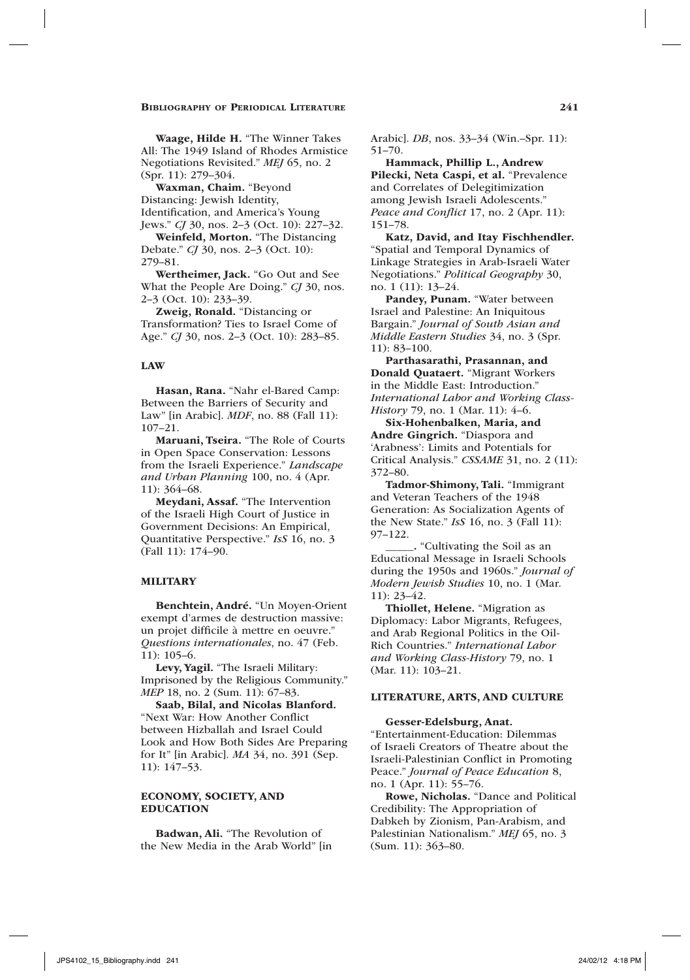Waage, Hilde H. "The Winner Takes All: The 1949 Island of Rhodes Armistice Negotiations Revisited." *MEJ* 65, no. 2 (Spr. 11): 279–304.

Waxman, Chaim. "Beyond Distancing: Jewish Identity, Identification, and America's Young Jews." *CJ* 30, nos. 2–3 (Oct. 10): 227–32.

Weinfeld, Morton. "The Distancing Debate." *CJ* 30, nos. 2–3 (Oct. 10): 279–81.

Wertheimer, Jack. "Go Out and See What the People Are Doing." *CJ* 30, nos. 2–3 (Oct. 10): 233–39.

Zweig, Ronald. "Distancing or Transformation? Ties to Israel Come of Age." *CJ* 30, nos. 2–3 (Oct. 10): 283–85.

### Law

Hasan, Rana. "Nahr el-Bared Camp: Between the Barriers of Security and Law" [in Arabic]. *MDF*, no. 88 (Fall 11): 107–21.

Maruani, Tseira. "The Role of Courts in Open Space Conservation: Lessons from the Israeli Experience." *Landscape and Urban Planning* 100, no. 4 (Apr. 11): 364–68.

Meydani, Assaf. "The Intervention of the Israeli High Court of Justice in Government Decisions: An Empirical, Quantitative Perspective." *IsS* 16, no. 3 (Fall 11): 174–90.

## **MILITARY**

Benchtein, André. "Un Moyen-Orient exempt d'armes de destruction massive: un projet difficile à mettre en oeuvre." *Questions internationales*, no. 47 (Feb. 11): 105–6.

Levy, Yagil. "The Israeli Military: Imprisoned by the Religious Community." *MEP* 18, no. 2 (Sum. 11): 67–83.

Saab, Bilal, and Nicolas Blanford. "Next War: How Another Conflict between Hizballah and Israel Could Look and How Both Sides Are Preparing for It" [in Arabic]. *MA* 34, no. 391 (Sep. 11): 147–53.

# Economy, Society, and **EDUCATION**

Badwan, Ali. "The Revolution of the New Media in the Arab World" [in Arabic]. *DB*, nos. 33–34 (Win.–Spr. 11): 51–70.

Hammack, Phillip L., Andrew Pilecki, Neta Caspi, et al. "Prevalence and Correlates of Delegitimization among Jewish Israeli Adolescents." *Peace and Conflict* 17, no. 2 (Apr. 11): 151–78.

Katz, David, and Itay Fischhendler. "Spatial and Temporal Dynamics of Linkage Strategies in Arab-Israeli Water Negotiations." *Political Geography* 30, no. 1 (11): 13–24.

Pandey, Punam. "Water between Israel and Palestine: An Iniquitous Bargain." *Journal of South Asian and Middle Eastern Studies* 34, no. 3 (Spr. 11): 83–100.

Parthasarathi, Prasannan, and Donald Quataert. "Migrant Workers in the Middle East: Introduction.' *International Labor and Working Class-History* 79, no. 1 (Mar. 11): 4–6.

Six-Hohenbalken, Maria, and Andre Gingrich. "Diaspora and 'Arabness': Limits and Potentials for Critical Analysis." *CSSAME* 31, no. 2 (11): 372–80.

Tadmor-Shimony, Tali. "Immigrant and Veteran Teachers of the 1948 Generation: As Socialization Agents of the New State." *IsS* 16, no. 3 (Fall 11): 97–122.

\_\_\_\_\_. "Cultivating the Soil as an Educational Message in Israeli Schools during the 1950s and 1960s." *Journal of Modern Jewish Studies* 10, no. 1 (Mar. 11): 23–42.

Thiollet, Helene. "Migration as Diplomacy: Labor Migrants, Refugees, and Arab Regional Politics in the Oil-Rich Countries." *International Labor and Working Class-History* 79, no. 1 (Mar. 11): 103–21.

#### Literature, Arts, and culture

# Gesser-Edelsburg, Anat.

"Entertainment-Education: Dilemmas of Israeli Creators of Theatre about the Israeli-Palestinian Conflict in Promoting Peace." *Journal of Peace Education* 8, no. 1 (Apr. 11): 55–76.

Rowe, Nicholas. "Dance and Political Credibility: The Appropriation of Dabkeh by Zionism, Pan-Arabism, and Palestinian Nationalism." *MEJ* 65, no. 3 (Sum. 11): 363–80.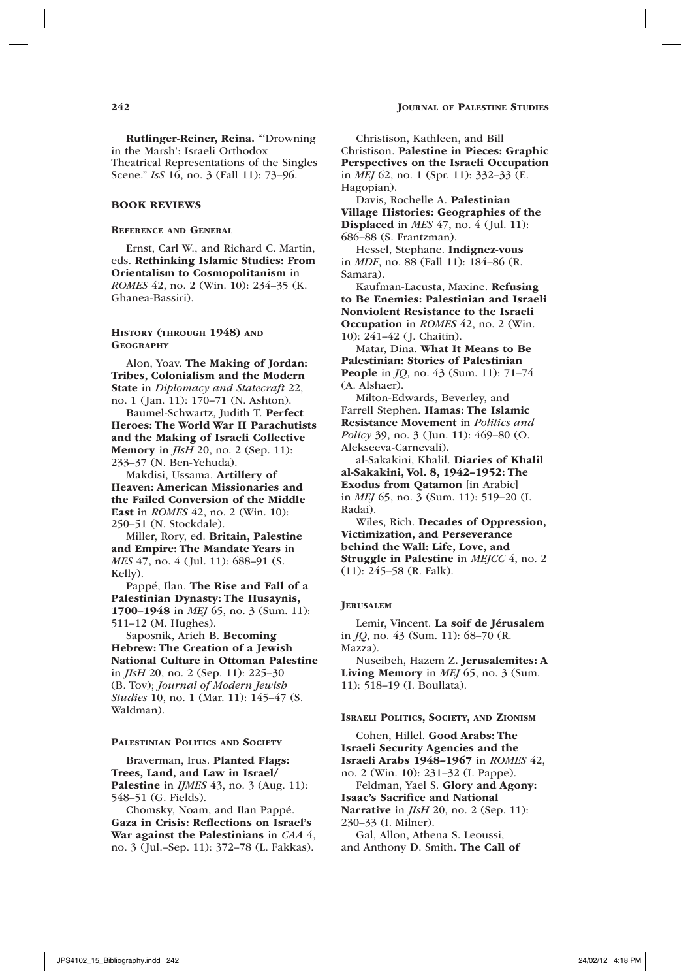Rutlinger-Reiner, Reina. "'Drowning in the Marsh': Israeli Orthodox Theatrical Representations of the Singles Scene." *IsS* 16, no. 3 (Fall 11): 73–96.

# Book Reviews

#### Reference and General

Ernst, Carl W., and Richard C. Martin, eds. Rethinking Islamic Studies: From Orientalism to Cosmopolitanism in *ROMES* 42, no. 2 (Win. 10): 234–35 (K. Ghanea-Bassiri).

# History (through 1948) and **GEOGRAPHY**

Alon, Yoav. The Making of Jordan: Tribes, Colonialism and the Modern State in *Diplomacy and Statecraft* 22, no. 1 (Jan. 11): 170–71 (N. Ashton).

Baumel-Schwartz, Judith T. Perfect Heroes: The World War II Parachutists and the Making of Israeli Collective Memory in *JIsH* 20, no. 2 (Sep. 11): 233–37 (N. Ben-Yehuda).

Makdisi, Ussama. Artillery of Heaven: American Missionaries and the Failed Conversion of the Middle East in *ROMES* 42, no. 2 (Win. 10): 250–51 (N. Stockdale).

Miller, Rory, ed. Britain, Palestine and Empire: The Mandate Years in *MES* 47, no. 4 (Jul. 11): 688–91 (S. Kelly).

Pappé, Ilan. The Rise and Fall of a Palestinian Dynasty: The Husaynis, 1700–1948 in *MEJ* 65, no. 3 (Sum. 11): 511–12 (M. Hughes).

Saposnik, Arieh B. Becoming Hebrew: The Creation of a Jewish National Culture in Ottoman Palestine in *JIsH* 20, no. 2 (Sep. 11): 225–30 (B. Tov); *Journal of Modern Jewish Studies* 10, no. 1 (Mar. 11): 145–47 (S. Waldman).

#### PALESTINIAN POLITICS AND SOCIETY

Braverman, Irus. Planted Flags: Trees, Land, and Law in Israel/ **Palestine** in *IJMES* 43, no. 3 (Aug. 11): 548–51 (G. Fields).

Chomsky, Noam, and Ilan Pappé. Gaza in Crisis: Reflections on Israel's War against the Palestinians in *CAA* 4, no. 3 (Jul.–Sep. 11): 372–78 (L. Fakkas).

Christison, Kathleen, and Bill Christison. Palestine in Pieces: Graphic Perspectives on the Israeli Occupation in *MEJ* 62, no. 1 (Spr. 11): 332–33 (E. Hagopian).

Davis, Rochelle A. Palestinian Village Histories: Geographies of the Displaced in *MES* 47, no. 4 (Jul. 11): 686–88 (S. Frantzman).

Hessel, Stephane. Indignez-vous in *MDF*, no. 88 (Fall 11): 184–86 (R. Samara).

Kaufman-Lacusta, Maxine. Refusing to Be Enemies: Palestinian and Israeli Nonviolent Resistance to the Israeli Occupation in *ROMES* 42, no. 2 (Win. 10): 241–42 (J. Chaitin).

Matar, Dina. What It Means to Be Palestinian: Stories of Palestinian People in *JQ*, no. 43 (Sum. 11): 71–74 (A. Alshaer).

Milton-Edwards, Beverley, and Farrell Stephen. Hamas: The Islamic Resistance Movement in *Politics and Policy* 39, no. 3 (Jun. 11): 469–80 (O. Alekseeva-Carnevali).

al-Sakakini, Khalil. Diaries of Khalil al-Sakakini, Vol. 8, 1942–1952: The Exodus from Qatamon [in Arabic] in *MEJ* 65, no. 3 (Sum. 11): 519–20 (I. Radai).

Wiles, Rich. Decades of Oppression, Victimization, and Perseverance behind the Wall: Life, Love, and Struggle in Palestine in *MEJCC* 4, no. 2 (11): 245–58 (R. Falk).

#### **JERUSALEM**

Lemir, Vincent. La soif de Jérusalem in *JQ*, no. 43 (Sum. 11): 68–70 (R. Mazza).

Nuseibeh, Hazem Z. Jerusalemites: A Living Memory in *MEJ* 65, no. 3 (Sum. 11): 518–19 (I. Boullata).

#### Israeli Politics, Society, and Zionism

Cohen, Hillel. Good Arabs: The Israeli Security Agencies and the Israeli Arabs 1948–1967 in *ROMES* 42,

no. 2 (Win. 10): 231–32 (I. Pappe).

Feldman, Yael S. Glory and Agony: Isaac's Sacrifice and National

Narrative in *JIsH* 20, no. 2 (Sep. 11):

230–33 (I. Milner). Gal, Allon, Athena S. Leoussi,

and Anthony D. Smith. The Call of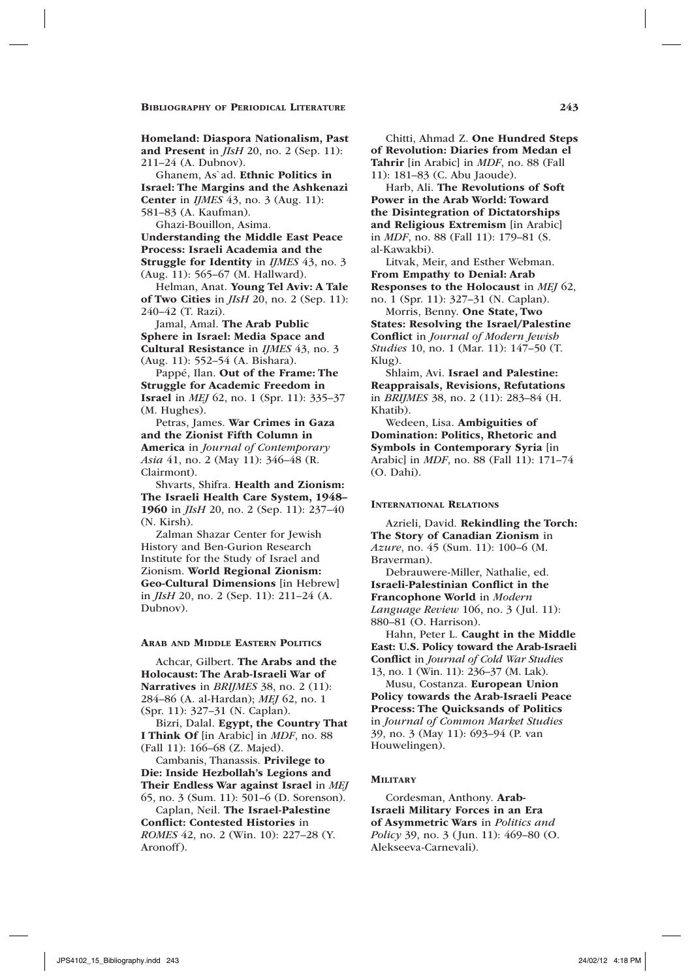Homeland: Diaspora Nationalism, Past and Present in *JIsH* 20, no. 2 (Sep. 11): 211–24 (A. Dubnov).

Ghanem, As'ad. Ethnic Politics in Israel: The Margins and the Ashkenazi Center in *IJMES* 43, no. 3 (Aug. 11): 581–83 (A. Kaufman).

Ghazi-Bouillon, Asima.

Understanding the Middle East Peace Process: Israeli Academia and the Struggle for Identity in *IJMES* 43, no. 3 (Aug. 11): 565–67 (M. Hallward).

Helman, Anat. Young Tel Aviv: A Tale of Two Cities in *JIsH* 20, no. 2 (Sep. 11): 240–42 (T. Razi).

Jamal, Amal. The Arab Public Sphere in Israel: Media Space and Cultural Resistance in *IJMES* 43, no. 3 (Aug. 11): 552–54 (A. Bishara).

Pappé, Ilan. Out of the Frame: The Struggle for Academic Freedom in Israel in *MEJ* 62, no. 1 (Spr. 11): 335–37 (M. Hughes).

Petras, James. War Crimes in Gaza and the Zionist Fifth Column in America in *Journal of Contemporary Asia* 41, no. 2 (May 11): 346–48 (R. Clairmont).

Shvarts, Shifra. Health and Zionism: The Israeli Health Care System, 1948– 1960 in *JIsH* 20, no. 2 (Sep. 11): 237–40 (N. Kirsh).

Zalman Shazar Center for Jewish History and Ben-Gurion Research Institute for the Study of Israel and Zionism. World Regional Zionism: Geo-Cultural Dimensions [in Hebrew] in *JIsH* 20, no. 2 (Sep. 11): 211–24 (A. Dubnov).

# Arab and Middle Eastern Politics

Achcar, Gilbert. The Arabs and the Holocaust: The Arab-Israeli War of Narratives in *BRIJMES* 38, no. 2 (11): 284–86 (A. al-Hardan); *MEJ* 62, no. 1 (Spr. 11): 327–31 (N. Caplan).

Bizri, Dalal. Egypt, the Country That I Think Of [in Arabic] in *MDF*, no. 88 (Fall 11): 166–68 (Z. Majed).

Cambanis, Thanassis. Privilege to Die: Inside Hezbollah's Legions and Their Endless War against Israel in *MEJ* 65, no. 3 (Sum. 11): 501–6 (D. Sorenson).

Caplan, Neil. The Israel-Palestine Conflict: Contested Histories in *ROMES* 42, no. 2 (Win. 10): 227–28 (Y. Aronoff).

Chitti, Ahmad Z. One Hundred Steps of Revolution: Diaries from Medan el Tahrir [in Arabic] in *MDF*, no. 88 (Fall 11): 181–83 (C. Abu Jaoude).

Harb, Ali. The Revolutions of Soft Power in the Arab World: Toward the Disintegration of Dictatorships and Religious Extremism [in Arabic] in *MDF*, no. 88 (Fall 11): 179–81 (S. al-Kawakbi).

Litvak, Meir, and Esther Webman. From Empathy to Denial: Arab Responses to the Holocaust in *MEJ* 62, no. 1 (Spr. 11): 327–31 (N. Caplan).

Morris, Benny. One State, Two States: Resolving the Israel/Palestine Conflict in *Journal of Modern Jewish Studies* 10, no. 1 (Mar. 11): 147–50 (T. Klug).

Shlaim, Avi. Israel and Palestine: Reappraisals, Revisions, Refutations in *BRIJMES* 38, no. 2 (11): 283–84 (H. Khatib).

Wedeen, Lisa. Ambiguities of Domination: Politics, Rhetoric and Symbols in Contemporary Syria [in Arabic] in *MDF*, no. 88 (Fall 11): 171–74 (O. Dahi).

#### International Relations

Azrieli, David. Rekindling the Torch: The Story of Canadian Zionism in *Azure*, no. 45 (Sum. 11): 100–6 (M. Braverman).

Debrauwere-Miller, Nathalie, ed. Israeli-Palestinian Conflict in the Francophone World in *Modern Language Review* 106, no. 3 (Jul. 11): 880–81 (O. Harrison).

Hahn, Peter L. Caught in the Middle East: U.S. Policy toward the Arab-Israeli Conflict in *Journal of Cold War Studies* 13, no. 1 (Win. 11): 236–37 (M. Lak).

Musu, Costanza. European Union Policy towards the Arab-Israeli Peace Process: The Quicksands of Politics in *Journal of Common Market Studies* 39, no. 3 (May 11): 693–94 (P. van Houwelingen).

## **MILITARY**

Cordesman, Anthony. Arab-Israeli Military Forces in an Era of Asymmetric Wars in *Politics and Policy* 39, no. 3 (Jun. 11): 469-80 (O. Alekseeva-Carnevali).